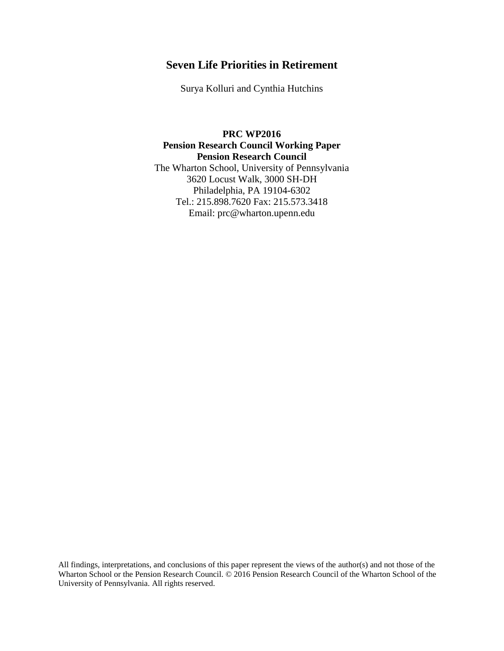# **Seven Life Priorities in Retirement**

Surya Kolluri and Cynthia Hutchins

**PRC WP2016 Pension Research Council Working Paper Pension Research Council** The Wharton School, University of Pennsylvania 3620 Locust Walk, 3000 SH-DH Philadelphia, PA 19104-6302 Tel.: 215.898.7620 Fax: 215.573.3418 Email: prc@wharton.upenn.edu

All findings, interpretations, and conclusions of this paper represent the views of the author(s) and not those of the Wharton School or the Pension Research Council. © 2016 Pension Research Council of the Wharton School of the University of Pennsylvania. All rights reserved.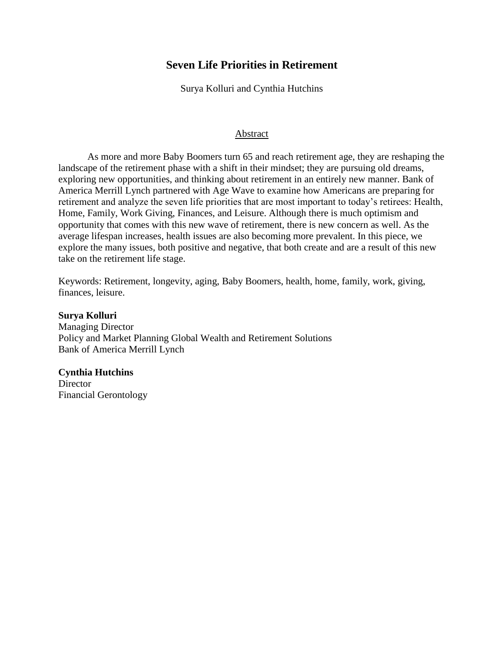# **Seven Life Priorities in Retirement**

Surya Kolluri and Cynthia Hutchins

# Abstract

As more and more Baby Boomers turn 65 and reach retirement age, they are reshaping the landscape of the retirement phase with a shift in their mindset; they are pursuing old dreams, exploring new opportunities, and thinking about retirement in an entirely new manner. Bank of America Merrill Lynch partnered with Age Wave to examine how Americans are preparing for retirement and analyze the seven life priorities that are most important to today's retirees: Health, Home, Family, Work Giving, Finances, and Leisure. Although there is much optimism and opportunity that comes with this new wave of retirement, there is new concern as well. As the average lifespan increases, health issues are also becoming more prevalent. In this piece, we explore the many issues, both positive and negative, that both create and are a result of this new take on the retirement life stage.

Keywords: Retirement, longevity, aging, Baby Boomers, health, home, family, work, giving, finances, leisure.

### **Surya Kolluri**

Managing Director Policy and Market Planning Global Wealth and Retirement Solutions Bank of America Merrill Lynch

**Cynthia Hutchins Director** Financial Gerontology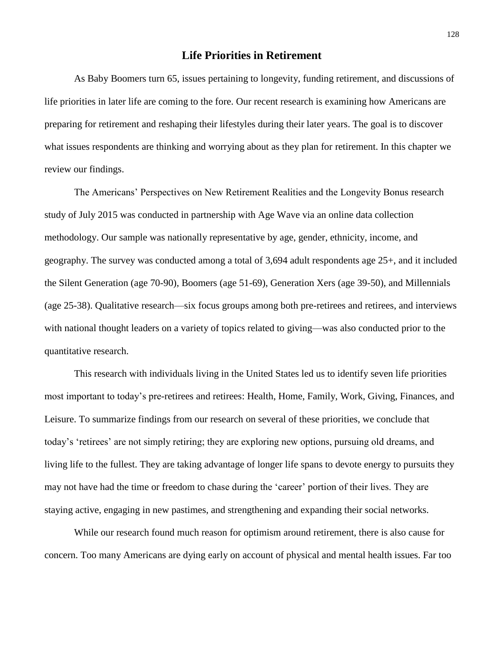# **Life Priorities in Retirement**

As Baby Boomers turn 65, issues pertaining to longevity, funding retirement, and discussions of life priorities in later life are coming to the fore. Our recent research is examining how Americans are preparing for retirement and reshaping their lifestyles during their later years. The goal is to discover what issues respondents are thinking and worrying about as they plan for retirement. In this chapter we review our findings.

The Americans' Perspectives on New Retirement Realities and the Longevity Bonus research study of July 2015 was conducted in partnership with Age Wave via an online data collection methodology. Our sample was nationally representative by age, gender, ethnicity, income, and geography. The survey was conducted among a total of 3,694 adult respondents age 25+, and it included the Silent Generation (age 70-90), Boomers (age 51-69), Generation Xers (age 39-50), and Millennials (age 25-38). Qualitative research—six focus groups among both pre-retirees and retirees, and interviews with national thought leaders on a variety of topics related to giving—was also conducted prior to the quantitative research.

This research with individuals living in the United States led us to identify seven life priorities most important to today's pre-retirees and retirees: Health, Home, Family, Work, Giving, Finances, and Leisure. To summarize findings from our research on several of these priorities, we conclude that today's 'retirees' are not simply retiring; they are exploring new options, pursuing old dreams, and living life to the fullest. They are taking advantage of longer life spans to devote energy to pursuits they may not have had the time or freedom to chase during the 'career' portion of their lives. They are staying active, engaging in new pastimes, and strengthening and expanding their social networks.

While our research found much reason for optimism around retirement, there is also cause for concern. Too many Americans are dying early on account of physical and mental health issues. Far too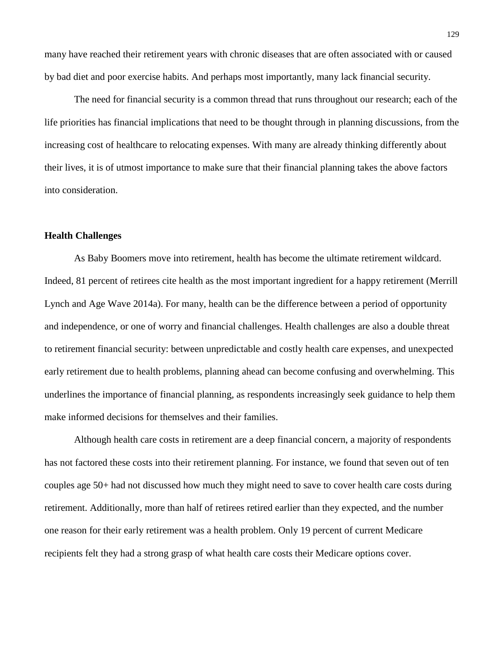many have reached their retirement years with chronic diseases that are often associated with or caused by bad diet and poor exercise habits. And perhaps most importantly, many lack financial security.

The need for financial security is a common thread that runs throughout our research; each of the life priorities has financial implications that need to be thought through in planning discussions, from the increasing cost of healthcare to relocating expenses. With many are already thinking differently about their lives, it is of utmost importance to make sure that their financial planning takes the above factors into consideration.

### **Health Challenges**

As Baby Boomers move into retirement, health has become the ultimate retirement wildcard. Indeed, 81 percent of retirees cite health as the most important ingredient for a happy retirement (Merrill Lynch and Age Wave 2014a). For many, health can be the difference between a period of opportunity and independence, or one of worry and financial challenges. Health challenges are also a double threat to retirement financial security: between unpredictable and costly health care expenses, and unexpected early retirement due to health problems, planning ahead can become confusing and overwhelming. This underlines the importance of financial planning, as respondents increasingly seek guidance to help them make informed decisions for themselves and their families.

Although health care costs in retirement are a deep financial concern, a majority of respondents has not factored these costs into their retirement planning. For instance, we found that seven out of ten couples age 50+ had not discussed how much they might need to save to cover health care costs during retirement. Additionally, more than half of retirees retired earlier than they expected, and the number one reason for their early retirement was a health problem. Only 19 percent of current Medicare recipients felt they had a strong grasp of what health care costs their Medicare options cover.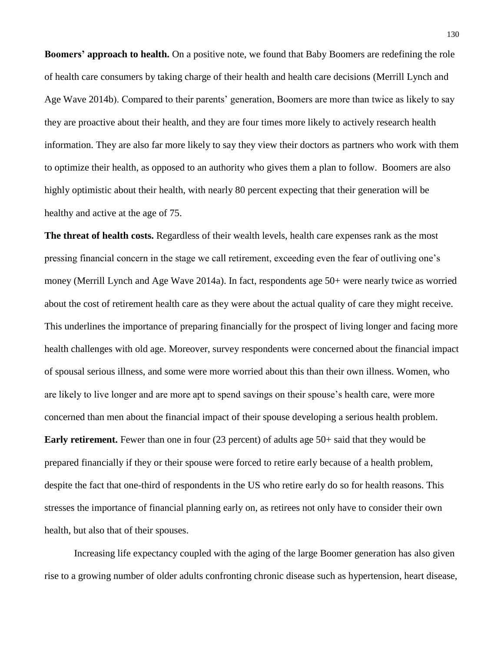**Boomers' approach to health.** On a positive note, we found that Baby Boomers are redefining the role of health care consumers by taking charge of their health and health care decisions (Merrill Lynch and Age Wave 2014b). Compared to their parents' generation, Boomers are more than twice as likely to say they are proactive about their health, and they are four times more likely to actively research health information. They are also far more likely to say they view their doctors as partners who work with them to optimize their health, as opposed to an authority who gives them a plan to follow. Boomers are also highly optimistic about their health, with nearly 80 percent expecting that their generation will be healthy and active at the age of 75.

**The threat of health costs.** Regardless of their wealth levels, health care expenses rank as the most pressing financial concern in the stage we call retirement, exceeding even the fear of outliving one's money (Merrill Lynch and Age Wave 2014a). In fact, respondents age 50+ were nearly twice as worried about the cost of retirement health care as they were about the actual quality of care they might receive. This underlines the importance of preparing financially for the prospect of living longer and facing more health challenges with old age. Moreover, survey respondents were concerned about the financial impact of spousal serious illness, and some were more worried about this than their own illness. Women, who are likely to live longer and are more apt to spend savings on their spouse's health care, were more concerned than men about the financial impact of their spouse developing a serious health problem. **Early retirement.** Fewer than one in four (23 percent) of adults age 50+ said that they would be prepared financially if they or their spouse were forced to retire early because of a health problem, despite the fact that one-third of respondents in the US who retire early do so for health reasons. This stresses the importance of financial planning early on, as retirees not only have to consider their own health, but also that of their spouses.

Increasing life expectancy coupled with the aging of the large Boomer generation has also given rise to a growing number of older adults confronting chronic disease such as hypertension, heart disease,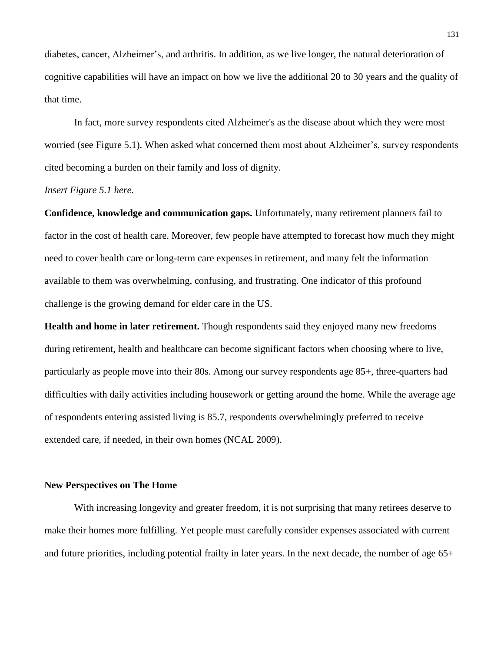diabetes, cancer, Alzheimer's, and arthritis. In addition, as we live longer, the natural deterioration of cognitive capabilities will have an impact on how we live the additional 20 to 30 years and the quality of that time.

In fact, more survey respondents cited Alzheimer's as the disease about which they were most worried (see Figure 5.1). When asked what concerned them most about Alzheimer's, survey respondents cited becoming a burden on their family and loss of dignity.

# *Insert Figure 5.1 here.*

**Confidence, knowledge and communication gaps.** Unfortunately, many retirement planners fail to factor in the cost of health care. Moreover, few people have attempted to forecast how much they might need to cover health care or long-term care expenses in retirement, and many felt the information available to them was overwhelming, confusing, and frustrating. One indicator of this profound challenge is the growing demand for elder care in the US.

**Health and home in later retirement.** Though respondents said they enjoyed many new freedoms during retirement, health and healthcare can become significant factors when choosing where to live, particularly as people move into their 80s. Among our survey respondents age 85+, three-quarters had difficulties with daily activities including housework or getting around the home. While the average age of respondents entering assisted living is 85.7, respondents overwhelmingly preferred to receive extended care, if needed, in their own homes (NCAL 2009).

# **New Perspectives on The Home**

With increasing longevity and greater freedom, it is not surprising that many retirees deserve to make their homes more fulfilling. Yet people must carefully consider expenses associated with current and future priorities, including potential frailty in later years. In the next decade, the number of age 65+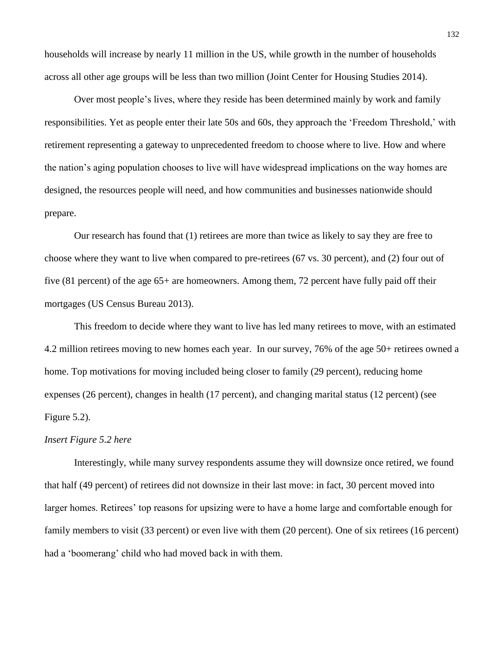households will increase by nearly 11 million in the US, while growth in the number of households across all other age groups will be less than two million (Joint Center for Housing Studies 2014).

Over most people's lives, where they reside has been determined mainly by work and family responsibilities. Yet as people enter their late 50s and 60s, they approach the 'Freedom Threshold,' with retirement representing a gateway to unprecedented freedom to choose where to live. How and where the nation's aging population chooses to live will have widespread implications on the way homes are designed, the resources people will need, and how communities and businesses nationwide should prepare.

Our research has found that (1) retirees are more than twice as likely to say they are free to choose where they want to live when compared to pre-retirees (67 vs. 30 percent), and (2) four out of five (81 percent) of the age 65+ are homeowners. Among them, 72 percent have fully paid off their mortgages (US Census Bureau 2013).

This freedom to decide where they want to live has led many retirees to move, with an estimated 4.2 million retirees moving to new homes each year. In our survey, 76% of the age 50+ retirees owned a home. Top motivations for moving included being closer to family (29 percent), reducing home expenses (26 percent), changes in health (17 percent), and changing marital status (12 percent) (see Figure 5.2).

## *Insert Figure 5.2 here*

Interestingly, while many survey respondents assume they will downsize once retired, we found that half (49 percent) of retirees did not downsize in their last move: in fact, 30 percent moved into larger homes. Retirees' top reasons for upsizing were to have a home large and comfortable enough for family members to visit (33 percent) or even live with them (20 percent). One of six retirees (16 percent) had a 'boomerang' child who had moved back in with them.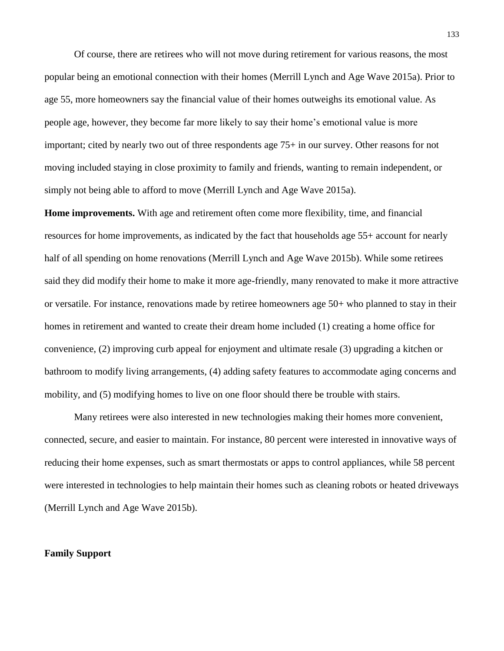Of course, there are retirees who will not move during retirement for various reasons, the most popular being an emotional connection with their homes (Merrill Lynch and Age Wave 2015a). Prior to age 55, more homeowners say the financial value of their homes outweighs its emotional value. As people age, however, they become far more likely to say their home's emotional value is more important; cited by nearly two out of three respondents age 75+ in our survey. Other reasons for not moving included staying in close proximity to family and friends, wanting to remain independent, or simply not being able to afford to move (Merrill Lynch and Age Wave 2015a).

**Home improvements.** With age and retirement often come more flexibility, time, and financial resources for home improvements, as indicated by the fact that households age 55+ account for nearly half of all spending on home renovations (Merrill Lynch and Age Wave 2015b). While some retirees said they did modify their home to make it more age-friendly, many renovated to make it more attractive or versatile. For instance, renovations made by retiree homeowners age 50+ who planned to stay in their homes in retirement and wanted to create their dream home included (1) creating a home office for convenience, (2) improving curb appeal for enjoyment and ultimate resale (3) upgrading a kitchen or bathroom to modify living arrangements, (4) adding safety features to accommodate aging concerns and mobility, and (5) modifying homes to live on one floor should there be trouble with stairs.

Many retirees were also interested in new technologies making their homes more convenient, connected, secure, and easier to maintain. For instance, 80 percent were interested in innovative ways of reducing their home expenses, such as smart thermostats or apps to control appliances, while 58 percent were interested in technologies to help maintain their homes such as cleaning robots or heated driveways (Merrill Lynch and Age Wave 2015b).

### **Family Support**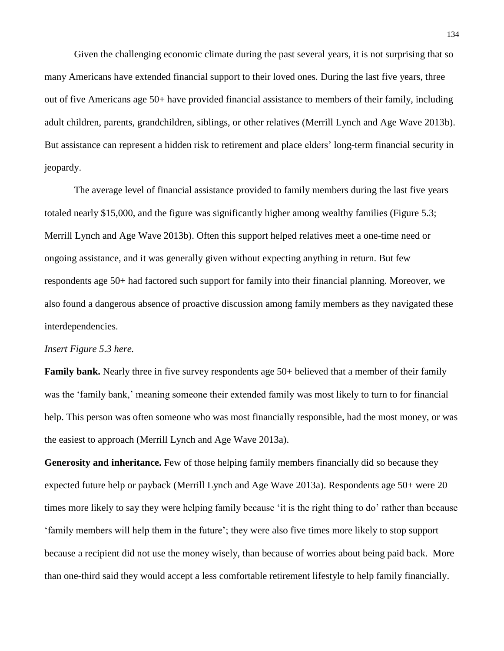Given the challenging economic climate during the past several years, it is not surprising that so many Americans have extended financial support to their loved ones. During the last five years, three out of five Americans age 50+ have provided financial assistance to members of their family, including adult children, parents, grandchildren, siblings, or other relatives (Merrill Lynch and Age Wave 2013b). But assistance can represent a hidden risk to retirement and place elders' long-term financial security in jeopardy.

The average level of financial assistance provided to family members during the last five years totaled nearly \$15,000, and the figure was significantly higher among wealthy families (Figure 5.3; Merrill Lynch and Age Wave 2013b). Often this support helped relatives meet a one-time need or ongoing assistance, and it was generally given without expecting anything in return. But few respondents age 50+ had factored such support for family into their financial planning. Moreover, we also found a dangerous absence of proactive discussion among family members as they navigated these interdependencies.

#### *Insert Figure 5.3 here.*

**Family bank.** Nearly three in five survey respondents age 50+ believed that a member of their family was the 'family bank,' meaning someone their extended family was most likely to turn to for financial help. This person was often someone who was most financially responsible, had the most money, or was the easiest to approach (Merrill Lynch and Age Wave 2013a).

**Generosity and inheritance.** Few of those helping family members financially did so because they expected future help or payback (Merrill Lynch and Age Wave 2013a). Respondents age 50+ were 20 times more likely to say they were helping family because 'it is the right thing to do' rather than because 'family members will help them in the future'; they were also five times more likely to stop support because a recipient did not use the money wisely, than because of worries about being paid back. More than one-third said they would accept a less comfortable retirement lifestyle to help family financially.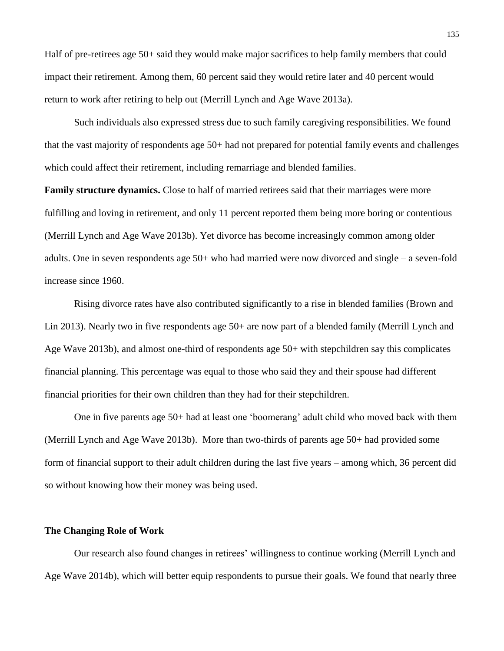Half of pre-retirees age 50+ said they would make major sacrifices to help family members that could impact their retirement. Among them, 60 percent said they would retire later and 40 percent would return to work after retiring to help out (Merrill Lynch and Age Wave 2013a).

Such individuals also expressed stress due to such family caregiving responsibilities. We found that the vast majority of respondents age 50+ had not prepared for potential family events and challenges which could affect their retirement, including remarriage and blended families.

**Family structure dynamics.** Close to half of married retirees said that their marriages were more fulfilling and loving in retirement, and only 11 percent reported them being more boring or contentious (Merrill Lynch and Age Wave 2013b). Yet divorce has become increasingly common among older adults. One in seven respondents age 50+ who had married were now divorced and single – a seven-fold increase since 1960.

Rising divorce rates have also contributed significantly to a rise in blended families (Brown and Lin 2013). Nearly two in five respondents age 50+ are now part of a blended family (Merrill Lynch and Age Wave 2013b), and almost one-third of respondents age 50+ with stepchildren say this complicates financial planning. This percentage was equal to those who said they and their spouse had different financial priorities for their own children than they had for their stepchildren.

One in five parents age 50+ had at least one 'boomerang' adult child who moved back with them (Merrill Lynch and Age Wave 2013b). More than two-thirds of parents age 50+ had provided some form of financial support to their adult children during the last five years – among which, 36 percent did so without knowing how their money was being used.

#### **The Changing Role of Work**

Our research also found changes in retirees' willingness to continue working (Merrill Lynch and Age Wave 2014b), which will better equip respondents to pursue their goals. We found that nearly three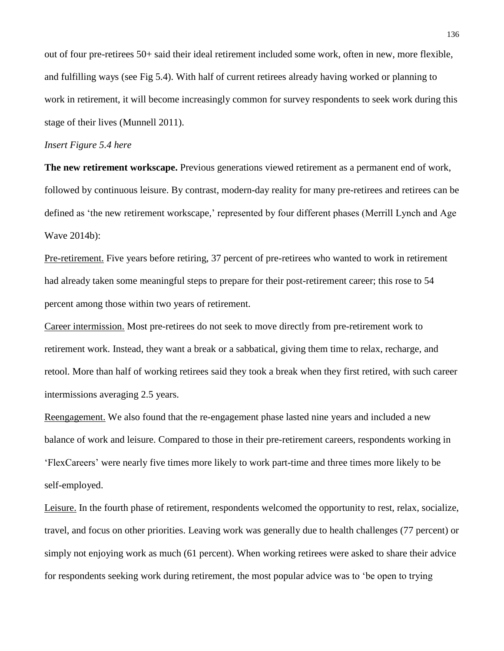out of four pre-retirees 50+ said their ideal retirement included some work, often in new, more flexible, and fulfilling ways (see Fig 5.4). With half of current retirees already having worked or planning to work in retirement, it will become increasingly common for survey respondents to seek work during this stage of their lives (Munnell 2011).

#### *Insert Figure 5.4 here*

**The new retirement workscape.** Previous generations viewed retirement as a permanent end of work, followed by continuous leisure. By contrast, modern-day reality for many pre-retirees and retirees can be defined as 'the new retirement workscape*,*' represented by four different phases (Merrill Lynch and Age Wave 2014b):

Pre-retirement. Five years before retiring, 37 percent of pre-retirees who wanted to work in retirement had already taken some meaningful steps to prepare for their post-retirement career; this rose to 54 percent among those within two years of retirement.

Career intermission. Most pre-retirees do not seek to move directly from pre-retirement work to retirement work. Instead, they want a break or a sabbatical, giving them time to relax, recharge, and retool. More than half of working retirees said they took a break when they first retired, with such career intermissions averaging 2.5 years.

Reengagement. We also found that the re-engagement phase lasted nine years and included a new balance of work and leisure. Compared to those in their pre-retirement careers, respondents working in 'FlexCareers' were nearly five times more likely to work part-time and three times more likely to be self-employed.

Leisure. In the fourth phase of retirement, respondents welcomed the opportunity to rest, relax, socialize, travel, and focus on other priorities. Leaving work was generally due to health challenges (77 percent) or simply not enjoying work as much (61 percent). When working retirees were asked to share their advice for respondents seeking work during retirement, the most popular advice was to 'be open to trying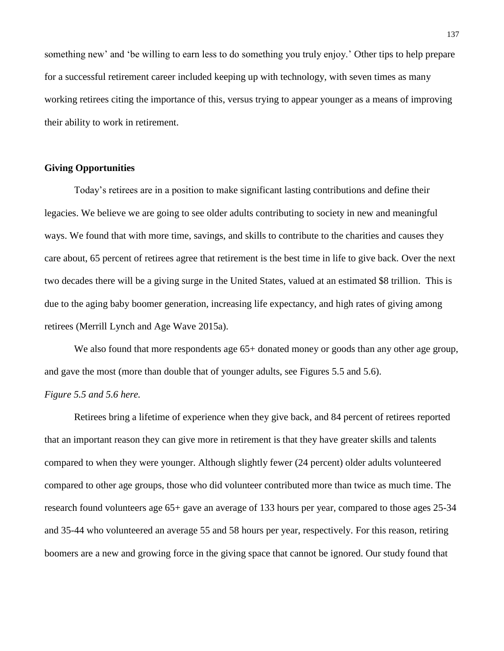something new' and 'be willing to earn less to do something you truly enjoy.' Other tips to help prepare for a successful retirement career included keeping up with technology, with seven times as many working retirees citing the importance of this, versus trying to appear younger as a means of improving their ability to work in retirement.

# **Giving Opportunities**

Today's retirees are in a position to make significant lasting contributions and define their legacies. We believe we are going to see older adults contributing to society in new and meaningful ways. We found that with more time, savings, and skills to contribute to the charities and causes they care about, 65 percent of retirees agree that retirement is the best time in life to give back. Over the next two decades there will be a giving surge in the United States, valued at an estimated \$8 trillion. This is due to the aging baby boomer generation, increasing life expectancy, and high rates of giving among retirees (Merrill Lynch and Age Wave 2015a).

We also found that more respondents age 65+ donated money or goods than any other age group, and gave the most (more than double that of younger adults, see Figures 5.5 and 5.6).

# *Figure 5.5 and 5.6 here.*

Retirees bring a lifetime of experience when they give back, and 84 percent of retirees reported that an important reason they can give more in retirement is that they have greater skills and talents compared to when they were younger. Although slightly fewer (24 percent) older adults volunteered compared to other age groups, those who did volunteer contributed more than twice as much time. The research found volunteers age 65+ gave an average of 133 hours per year, compared to those ages 25-34 and 35-44 who volunteered an average 55 and 58 hours per year, respectively. For this reason, retiring boomers are a new and growing force in the giving space that cannot be ignored. Our study found that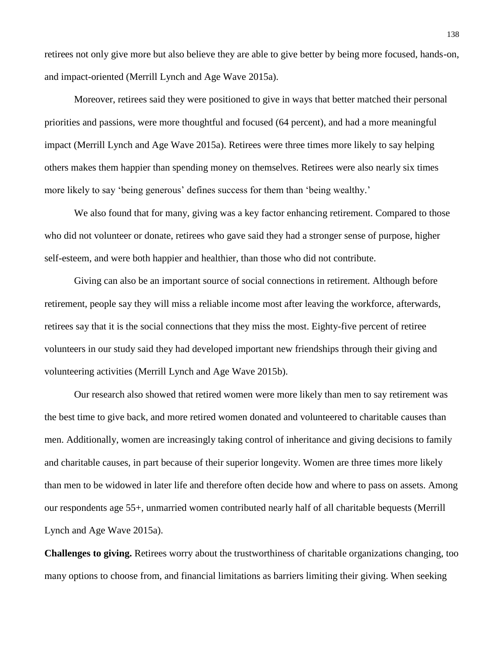retirees not only give more but also believe they are able to give better by being more focused, hands-on, and impact-oriented (Merrill Lynch and Age Wave 2015a).

Moreover, retirees said they were positioned to give in ways that better matched their personal priorities and passions, were more thoughtful and focused (64 percent), and had a more meaningful impact (Merrill Lynch and Age Wave 2015a). Retirees were three times more likely to say helping others makes them happier than spending money on themselves. Retirees were also nearly six times more likely to say 'being generous' defines success for them than 'being wealthy.'

We also found that for many, giving was a key factor enhancing retirement. Compared to those who did not volunteer or donate, retirees who gave said they had a stronger sense of purpose, higher self-esteem, and were both happier and healthier, than those who did not contribute.

Giving can also be an important source of social connections in retirement. Although before retirement, people say they will miss a reliable income most after leaving the workforce, afterwards, retirees say that it is the social connections that they miss the most. Eighty-five percent of retiree volunteers in our study said they had developed important new friendships through their giving and volunteering activities (Merrill Lynch and Age Wave 2015b).

Our research also showed that retired women were more likely than men to say retirement was the best time to give back, and more retired women donated and volunteered to charitable causes than men. Additionally, women are increasingly taking control of inheritance and giving decisions to family and charitable causes, in part because of their superior longevity. Women are three times more likely than men to be widowed in later life and therefore often decide how and where to pass on assets. Among our respondents age 55+, unmarried women contributed nearly half of all charitable bequests (Merrill Lynch and Age Wave 2015a).

**Challenges to giving.** Retirees worry about the trustworthiness of charitable organizations changing, too many options to choose from, and financial limitations as barriers limiting their giving. When seeking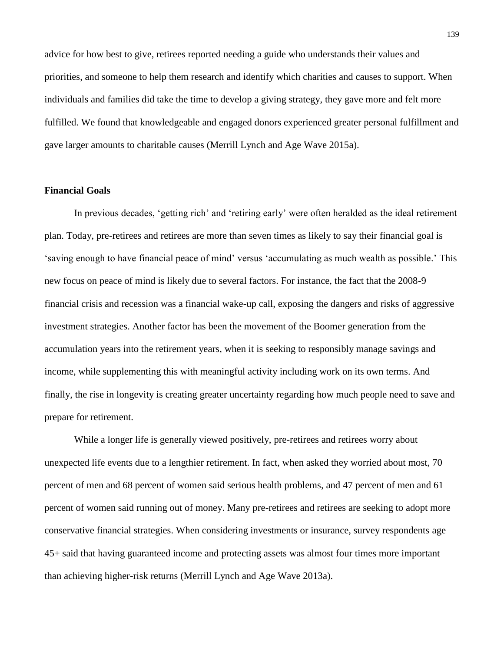advice for how best to give, retirees reported needing a guide who understands their values and priorities, and someone to help them research and identify which charities and causes to support. When individuals and families did take the time to develop a giving strategy, they gave more and felt more fulfilled. We found that knowledgeable and engaged donors experienced greater personal fulfillment and gave larger amounts to charitable causes (Merrill Lynch and Age Wave 2015a).

# **Financial Goals**

In previous decades, 'getting rich' and 'retiring early' were often heralded as the ideal retirement plan. Today, pre-retirees and retirees are more than seven times as likely to say their financial goal is 'saving enough to have financial peace of mind' versus 'accumulating as much wealth as possible.' This new focus on peace of mind is likely due to several factors. For instance, the fact that the 2008-9 financial crisis and recession was a financial wake-up call, exposing the dangers and risks of aggressive investment strategies. Another factor has been the movement of the Boomer generation from the accumulation years into the retirement years, when it is seeking to responsibly manage savings and income, while supplementing this with meaningful activity including work on its own terms. And finally, the rise in longevity is creating greater uncertainty regarding how much people need to save and prepare for retirement.

While a longer life is generally viewed positively, pre-retirees and retirees worry about unexpected life events due to a lengthier retirement. In fact, when asked they worried about most, 70 percent of men and 68 percent of women said serious health problems, and 47 percent of men and 61 percent of women said running out of money. Many pre-retirees and retirees are seeking to adopt more conservative financial strategies. When considering investments or insurance, survey respondents age 45+ said that having guaranteed income and protecting assets was almost four times more important than achieving higher-risk returns (Merrill Lynch and Age Wave 2013a).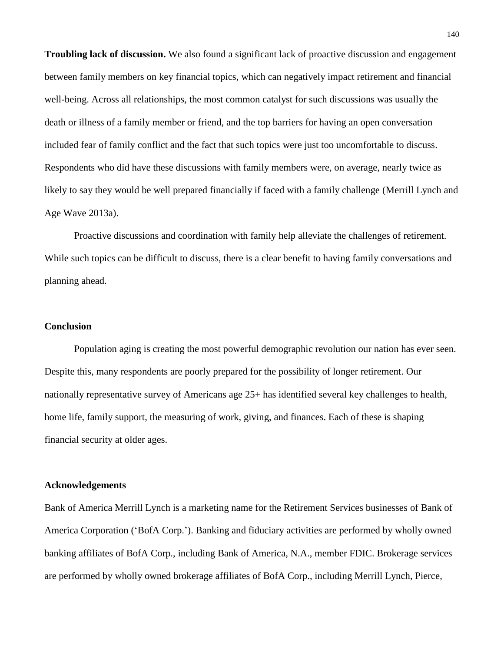**Troubling lack of discussion.** We also found a significant lack of proactive discussion and engagement between family members on key financial topics, which can negatively impact retirement and financial well-being. Across all relationships, the most common catalyst for such discussions was usually the death or illness of a family member or friend, and the top barriers for having an open conversation included fear of family conflict and the fact that such topics were just too uncomfortable to discuss. Respondents who did have these discussions with family members were, on average, nearly twice as likely to say they would be well prepared financially if faced with a family challenge (Merrill Lynch and Age Wave 2013a).

Proactive discussions and coordination with family help alleviate the challenges of retirement. While such topics can be difficult to discuss, there is a clear benefit to having family conversations and planning ahead.

### **Conclusion**

Population aging is creating the most powerful demographic revolution our nation has ever seen. Despite this, many respondents are poorly prepared for the possibility of longer retirement. Our nationally representative survey of Americans age 25+ has identified several key challenges to health, home life, family support, the measuring of work, giving, and finances. Each of these is shaping financial security at older ages.

#### **Acknowledgements**

Bank of America Merrill Lynch is a marketing name for the Retirement Services businesses of Bank of America Corporation ('BofA Corp.'). Banking and fiduciary activities are performed by wholly owned banking affiliates of BofA Corp., including Bank of America, N.A., member FDIC. Brokerage services are performed by wholly owned brokerage affiliates of BofA Corp., including Merrill Lynch, Pierce,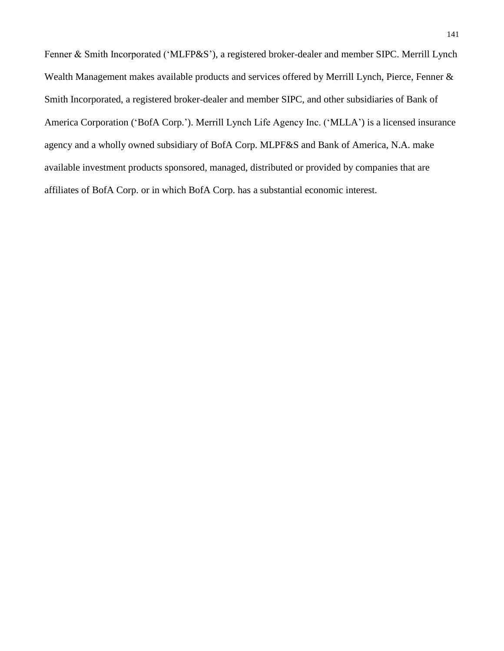Fenner & Smith Incorporated ('MLFP&S'), a registered broker-dealer and member SIPC. Merrill Lynch Wealth Management makes available products and services offered by Merrill Lynch, Pierce, Fenner & Smith Incorporated, a registered broker-dealer and member SIPC, and other subsidiaries of Bank of America Corporation ('BofA Corp.'). Merrill Lynch Life Agency Inc. ('MLLA') is a licensed insurance agency and a wholly owned subsidiary of BofA Corp. MLPF&S and Bank of America, N.A. make available investment products sponsored, managed, distributed or provided by companies that are affiliates of BofA Corp. or in which BofA Corp. has a substantial economic interest.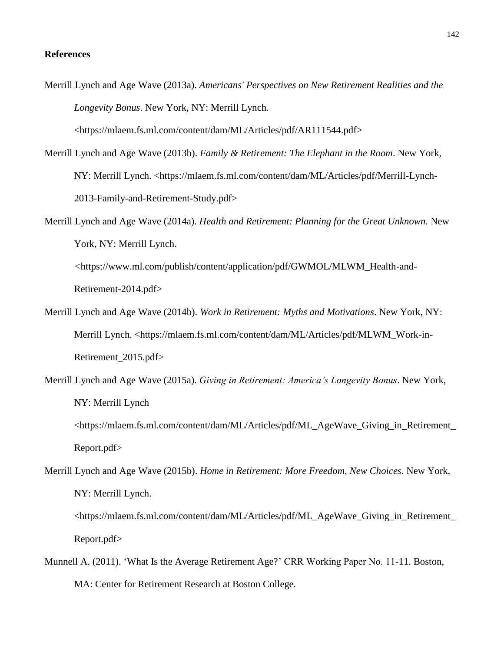# **References**

Merrill Lynch and Age Wave (2013a). *Americans' Perspectives on New Retirement Realities and the Longevity Bonus*. New York, NY: Merrill Lynch.

<https://mlaem.fs.ml.com/content/dam/ML/Articles/pdf/AR111544.pdf>

Merrill Lynch and Age Wave (2013b). *Family & Retirement: The Elephant in the Room*. New York, NY: Merrill Lynch. <https://mlaem.fs.ml.com/content/dam/ML/Articles/pdf/Merrill-Lynch-2013-Family-and-Retirement-Study.pdf>

Merrill Lynch and Age Wave (2014a). *Health and Retirement: Planning for the Great Unknown.* New York, NY: Merrill Lynch.

*<*https://www.ml.com/publish/content/application/pdf/GWMOL/MLWM\_Health-and-Retirement-2014.pdf>

- Merrill Lynch and Age Wave (2014b). *Work in Retirement: Myths and Motivations*. New York, NY: Merrill Lynch. <https://mlaem.fs.ml.com/content/dam/ML/Articles/pdf/MLWM\_Work-in-Retirement\_2015.pdf>
- Merrill Lynch and Age Wave (2015a). *Giving in Retirement: America's Longevity Bonus*. New York, NY: Merrill Lynch

<https://mlaem.fs.ml.com/content/dam/ML/Articles/pdf/ML\_AgeWave\_Giving\_in\_Retirement\_ Report.pdf>

Merrill Lynch and Age Wave (2015b). *Home in Retirement: More Freedom, New Choices*. New York, NY: Merrill Lynch.

<https://mlaem.fs.ml.com/content/dam/ML/Articles/pdf/ML\_AgeWave\_Giving\_in\_Retirement\_ Report.pdf>

Munnell A. (2011). 'What Is the Average Retirement Age?' CRR Working Paper No. 11-11. Boston, MA: Center for Retirement Research at Boston College.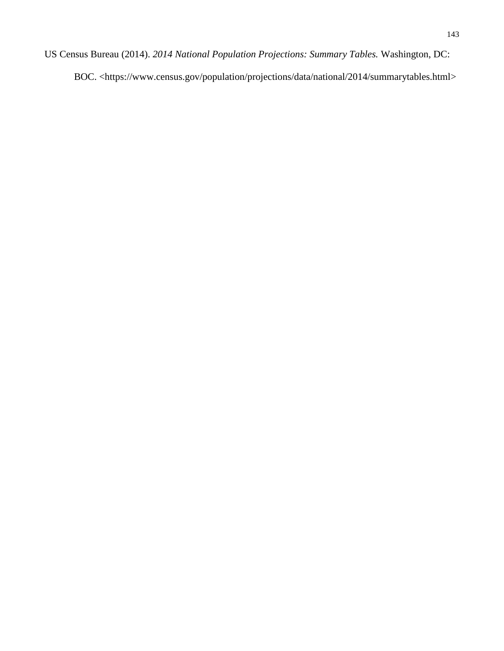US Census Bureau (2014). *2014 National Population Projections: Summary Tables.* Washington, DC:

BOC. <https://www.census.gov/population/projections/data/national/2014/summarytables.html>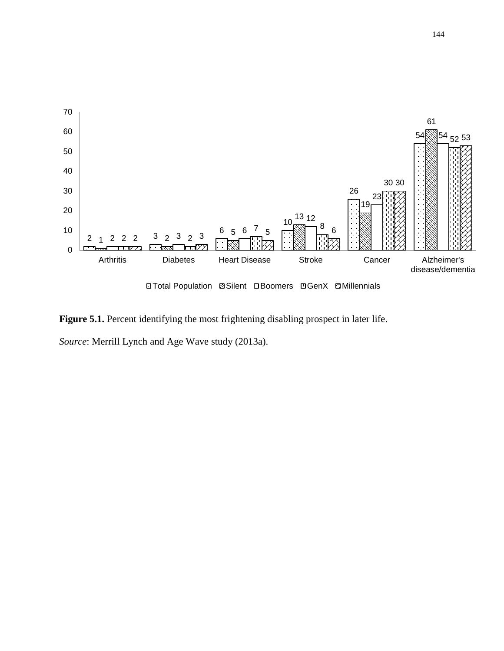

Figure 5.1. Percent identifying the most frightening disabling prospect in later life.

*Source*: Merrill Lynch and Age Wave study (2013a).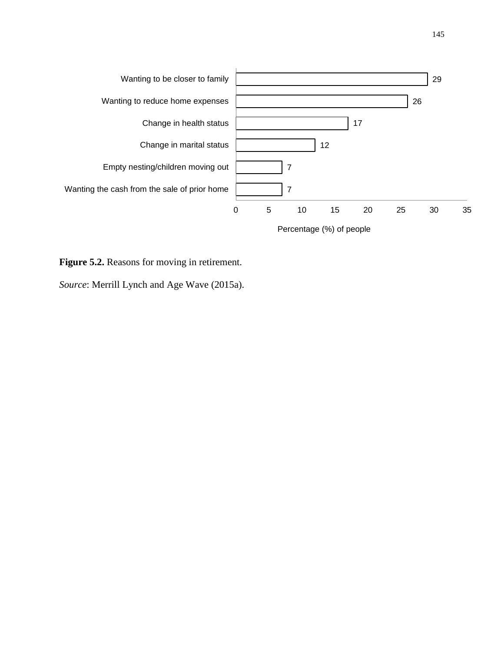

**Figure 5.2.** Reasons for moving in retirement.

*Source*: Merrill Lynch and Age Wave (2015a).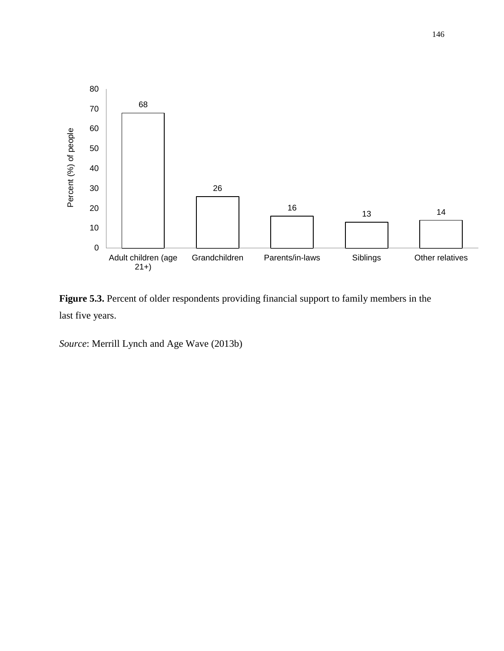

**Figure 5.3.** Percent of older respondents providing financial support to family members in the last five years.

*Source*: Merrill Lynch and Age Wave (2013b)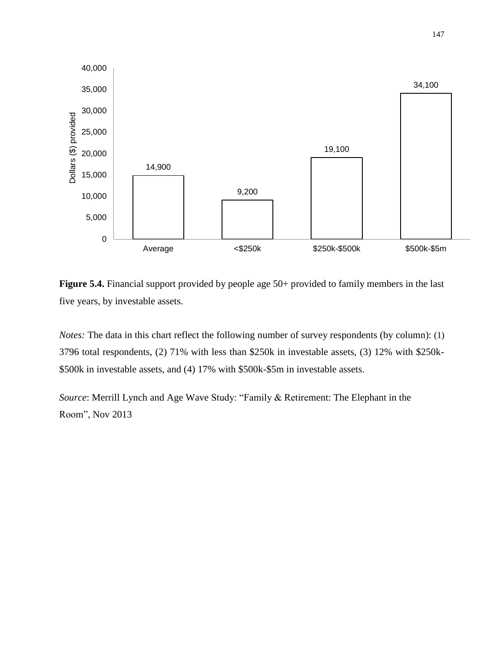

**Figure 5.4.** Financial support provided by people age 50+ provided to family members in the last five years, by investable assets.

*Notes:* The data in this chart reflect the following number of survey respondents (by column): (1) 3796 total respondents, (2) 71% with less than \$250k in investable assets, (3) 12% with \$250k- \$500k in investable assets, and (4) 17% with \$500k-\$5m in investable assets.

*Source*: Merrill Lynch and Age Wave Study: "Family & Retirement: The Elephant in the Room", Nov 2013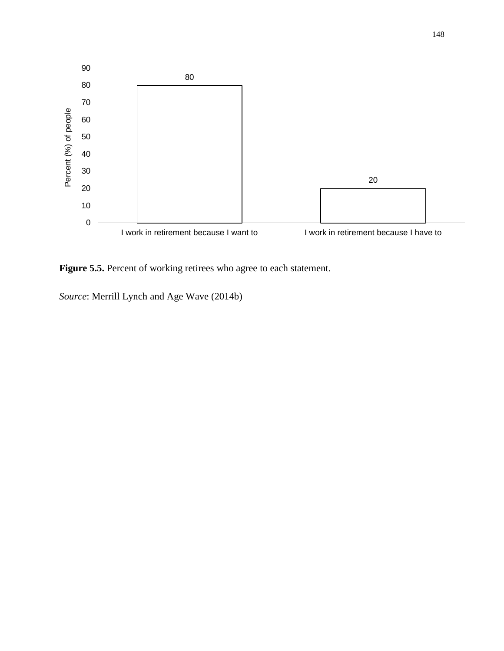

Figure 5.5. Percent of working retirees who agree to each statement.

*Source*: Merrill Lynch and Age Wave (2014b)